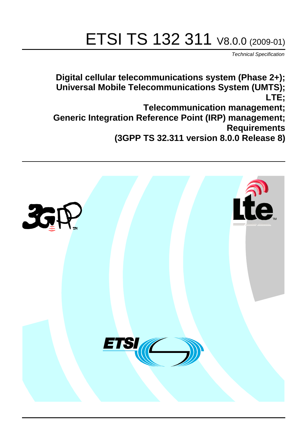# ETSI TS 132 311 V8.0.0 (2009-01)

*Technical Specification*

**Digital cellular telecommunications system (Phase 2+); Universal Mobile Telecommunications System (UMTS); LTE; Telecommunication management; Generic Integration Reference Point (IRP) management; Requirements** 

**(3GPP TS 32.311 version 8.0.0 Release 8)**

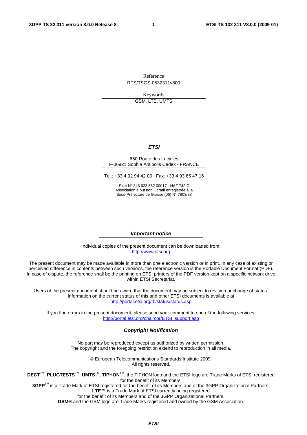Reference RTS/TSGS-0532311v800

Keywords

GSM, LTE, UMTS

#### *ETSI*

#### 650 Route des Lucioles F-06921 Sophia Antipolis Cedex - FRANCE

Tel.: +33 4 92 94 42 00 Fax: +33 4 93 65 47 16

Siret N° 348 623 562 00017 - NAF 742 C Association à but non lucratif enregistrée à la Sous-Préfecture de Grasse (06) N° 7803/88

#### *Important notice*

Individual copies of the present document can be downloaded from: [http://www.etsi.org](http://www.etsi.org/)

The present document may be made available in more than one electronic version or in print. In any case of existing or perceived difference in contents between such versions, the reference version is the Portable Document Format (PDF). In case of dispute, the reference shall be the printing on ETSI printers of the PDF version kept on a specific network drive within ETSI Secretariat.

Users of the present document should be aware that the document may be subject to revision or change of status. Information on the current status of this and other ETSI documents is available at <http://portal.etsi.org/tb/status/status.asp>

If you find errors in the present document, please send your comment to one of the following services: [http://portal.etsi.org/chaircor/ETSI\\_support.asp](http://portal.etsi.org/chaircor/ETSI_support.asp)

#### *Copyright Notification*

No part may be reproduced except as authorized by written permission. The copyright and the foregoing restriction extend to reproduction in all media.

> © European Telecommunications Standards Institute 2009. All rights reserved.

**DECT**TM, **PLUGTESTS**TM, **UMTS**TM, **TIPHON**TM, the TIPHON logo and the ETSI logo are Trade Marks of ETSI registered for the benefit of its Members.

**3GPP**TM is a Trade Mark of ETSI registered for the benefit of its Members and of the 3GPP Organizational Partners. **LTE**™ is a Trade Mark of ETSI currently being registered

for the benefit of its Members and of the 3GPP Organizational Partners.

**GSM**® and the GSM logo are Trade Marks registered and owned by the GSM Association.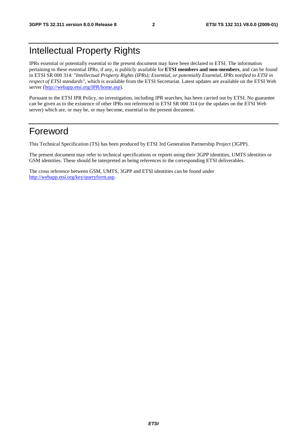## Intellectual Property Rights

IPRs essential or potentially essential to the present document may have been declared to ETSI. The information pertaining to these essential IPRs, if any, is publicly available for **ETSI members and non-members**, and can be found in ETSI SR 000 314: *"Intellectual Property Rights (IPRs); Essential, or potentially Essential, IPRs notified to ETSI in respect of ETSI standards"*, which is available from the ETSI Secretariat. Latest updates are available on the ETSI Web server [\(http://webapp.etsi.org/IPR/home.asp\)](http://webapp.etsi.org/IPR/home.asp).

Pursuant to the ETSI IPR Policy, no investigation, including IPR searches, has been carried out by ETSI. No guarantee can be given as to the existence of other IPRs not referenced in ETSI SR 000 314 (or the updates on the ETSI Web server) which are, or may be, or may become, essential to the present document.

#### Foreword

This Technical Specification (TS) has been produced by ETSI 3rd Generation Partnership Project (3GPP).

The present document may refer to technical specifications or reports using their 3GPP identities, UMTS identities or GSM identities. These should be interpreted as being references to the corresponding ETSI deliverables.

The cross reference between GSM, UMTS, 3GPP and ETSI identities can be found under [http://webapp.etsi.org/key/queryform.asp.](http://webapp.etsi.org/key/queryform.asp)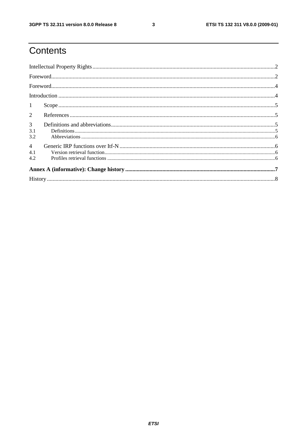$\mathbf{3}$ 

# Contents

| $\mathbf{1}$                 |  |  |  |  |  |
|------------------------------|--|--|--|--|--|
| $\overline{2}$               |  |  |  |  |  |
| 3 <sup>7</sup><br>3.1<br>3.2 |  |  |  |  |  |
| $\overline{4}$<br>4.1<br>4.2 |  |  |  |  |  |
|                              |  |  |  |  |  |
|                              |  |  |  |  |  |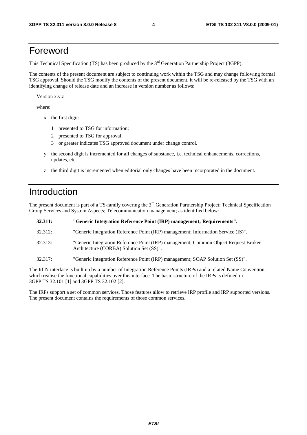#### Foreword

This Technical Specification (TS) has been produced by the 3<sup>rd</sup> Generation Partnership Project (3GPP).

The contents of the present document are subject to continuing work within the TSG and may change following formal TSG approval. Should the TSG modify the contents of the present document, it will be re-released by the TSG with an identifying change of release date and an increase in version number as follows:

Version x.y.z

where:

- x the first digit:
	- 1 presented to TSG for information;
	- 2 presented to TSG for approval;
	- 3 or greater indicates TSG approved document under change control.
- y the second digit is incremented for all changes of substance, i.e. technical enhancements, corrections, updates, etc.
- z the third digit is incremented when editorial only changes have been incorporated in the document.

## Introduction

The present document is part of a TS-family covering the 3<sup>rd</sup> Generation Partnership Project; Technical Specification Group Services and System Aspects; Telecommunication management; as identified below:

| 32.311: | "Generic Integration Reference Point (IRP) management; Requirements".                                                           |
|---------|---------------------------------------------------------------------------------------------------------------------------------|
| 32.312: | "Generic Integration Reference Point (IRP) management; Information Service (IS)".                                               |
| 32.313: | "Generic Integration Reference Point (IRP) management; Common Object Request Broker<br>Architecture (CORBA) Solution Set (SS)". |
| 32.317: | "Generic Integration Reference Point (IRP) management; SOAP Solution Set (SS)".                                                 |

The Itf-N interface is built up by a number of Integration Reference Points (IRPs) and a related Name Convention, which realise the functional capabilities over this interface. The basic structure of the IRPs is defined in 3GPP TS 32.101 [1] and 3GPP TS 32.102 [2].

The IRPs support a set of common services. Those features allow to retrieve IRP profile and IRP supported versions. The present document contains the requirements of those common services.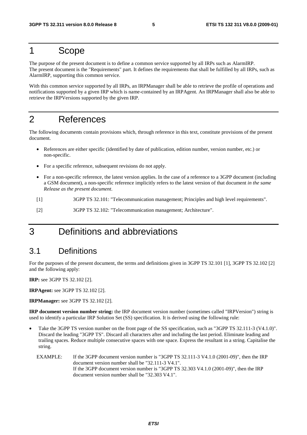#### 1 Scope

The purpose of the present document is to define a common service supported by all IRPs such as AlarmIRP. The present document is the "Requirements" part. It defines the requirements that shall be fulfilled by all IRPs, such as AlarmIRP, supporting this common service.

With this common service supported by all IRPs, an IRPManager shall be able to retrieve the profile of operations and notifications supported by a given IRP which is name-contained by an IRPAgent. An IRPManager shall also be able to retrieve the IRPVersions supported by the given IRP.

## 2 References

The following documents contain provisions which, through reference in this text, constitute provisions of the present document.

- References are either specific (identified by date of publication, edition number, version number, etc.) or non-specific.
- For a specific reference, subsequent revisions do not apply.
- For a non-specific reference, the latest version applies. In the case of a reference to a 3GPP document (including a GSM document), a non-specific reference implicitly refers to the latest version of that document *in the same Release as the present document*.
- [1] 3GPP TS 32.101: "Telecommunication management; Principles and high level requirements".
- [2] 3GPP TS 32.102: "Telecommunication management; Architecture".

## 3 Definitions and abbreviations

#### 3.1 Definitions

For the purposes of the present document, the terms and definitions given in 3GPP TS 32.101 [1], 3GPP TS 32.102 [2] and the following apply:

**IRP:** see 3GPP TS 32.102 [2].

**IRPAgent:** see 3GPP TS 32.102 [2].

**IRPManager:** see 3GPP TS 32.102 [2].

**IRP document version number string:** the IRP document version number (sometimes called "IRPVersion") string is used to identify a particular IRP Solution Set (SS) specification. It is derived using the following rule:

- Take the 3GPP TS version number on the front page of the SS specification, such as "3GPP TS 32.111-3 (V4.1.0)". Discard the leading "3GPP TS". Discard all characters after and including the last period. Eliminate leading and trailing spaces. Reduce multiple consecutive spaces with one space. Express the resultant in a string. Capitalise the string.
	- EXAMPLE: If the 3GPP document version number is "3GPP TS 32.111-3 V4.1.0 (2001-09)", then the IRP document version number shall be "32.111-3 V4.1". If the 3GPP document version number is "3GPP TS 32.303 V4.1.0 (2001-09)", then the IRP document version number shall be "32.303 V4.1".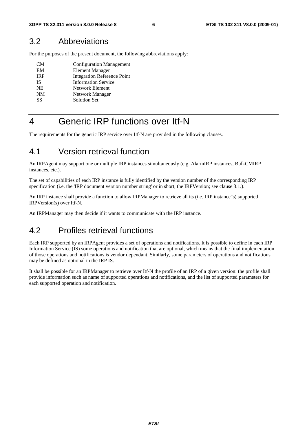#### 3.2 Abbreviations

For the purposes of the present document, the following abbreviations apply:

| CM         | <b>Configuration Management</b>    |
|------------|------------------------------------|
| EM         | <b>Element Manager</b>             |
| <b>IRP</b> | <b>Integration Reference Point</b> |
| IS         | <b>Information Service</b>         |
| <b>NE</b>  | Network Element                    |
| <b>NM</b>  | Network Manager                    |
| SS         | <b>Solution Set</b>                |
|            |                                    |

## 4 Generic IRP functions over Itf-N

The requirements for the generic IRP service over Itf-N are provided in the following clauses.

#### 4.1 Version retrieval function

An IRPAgent may support one or multiple IRP instances simultaneously (e.g. AlarmIRP instances, BulkCMIRP instances, etc.).

The set of capabilities of each IRP instance is fully identified by the version number of the corresponding IRP specification (i.e. the 'IRP document version number string' or in short, the IRPVersion; see clause 3.1.).

An IRP instance shall provide a function to allow IRPManager to retrieve all its (i.e. IRP instance"s) supported IRPVersion(s) over Itf-N.

An IRPManager may then decide if it wants to communicate with the IRP instance.

#### 4.2 Profiles retrieval functions

Each IRP supported by an IRPAgent provides a set of operations and notifications. It is possible to define in each IRP Information Service (IS) some operations and notification that are optional, which means that the final implementation of those operations and notifications is vendor dependant. Similarly, some parameters of operations and notifications may be defined as optional in the IRP IS.

It shall be possible for an IRPManager to retrieve over Itf-N the profile of an IRP of a given version: the profile shall provide information such as name of supported operations and notifications, and the list of supported parameters for each supported operation and notification.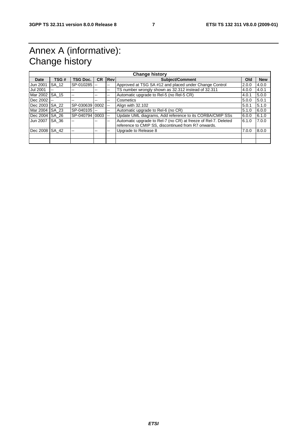## Annex A (informative): Change history

| <b>Change history</b> |              |                   |           |            |                                                                |       |            |
|-----------------------|--------------|-------------------|-----------|------------|----------------------------------------------------------------|-------|------------|
| Date                  | TSG#         | <b>TSG Doc.</b>   | <b>CR</b> | <b>Rev</b> | <b>Subject/Comment</b>                                         | Old   | <b>New</b> |
| Jun 2001              | SA 12        | SP-010285 --      |           | --         | Approved at TSG SA #12 and placed under Change Control         | 2.0.0 | 4.0.0      |
| <b>Jul 2001</b>       | --           | --                | --        | --         | TS number wrongly shown as 32.312 instead of 32.311            | 4.0.0 | 4.0.1      |
| Mar 2002              | SA 15        | $- -$             | --        | $- -$      | Automatic upgrade to Rel-5 (no Rel-5 CR)                       | 4.0.1 | 5.0.0      |
| Dec 2002              |              | --                | --        | $- -$      | Cosmetics                                                      | 5.0.0 | 5.0.1      |
| Dec 2003              | SA 22        | SP-030639 0002 -- |           |            | Align with 32.102                                              | 5.0.1 | 5.1.0      |
| Mar 2004              | SA 23        | $SP-040105$ $-$   |           | $- -$      | Automatic upgrade to Rel-6 (no CR)                             | 5.1.0 | 6.0.0      |
| Dec 2004 SA 26        |              | SP-040794 0003 -- |           |            | Update UML diagrams, Add reference to its CORBA/CMIP SSs       | 6.0.0 | 6.1.0      |
| Jun 2007              | <b>SA 36</b> | $-$               | --        | $- -$      | Automatic upgrade to Rel-7 (no CR) at freeze of Rel-7. Deleted | 6.1.0 | 7.0.0      |
|                       |              |                   |           |            | reference to CMIP SS, discontinued from R7 onwards.            |       |            |
| Dec 2008              | SA 42        |                   | --        | --         | Upgrade to Release 8                                           | 7.0.0 | 8.0.0      |
|                       |              |                   |           |            |                                                                |       |            |
|                       |              |                   |           |            |                                                                |       |            |